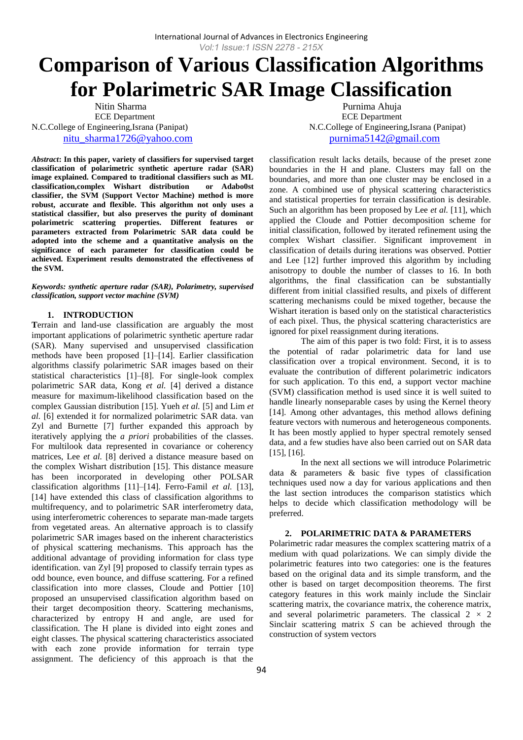# **Comparison of Various Classification Algorithms for Polarimetric SAR Image Classification**

ECE Department ECE Department N.C.College of Engineering,Israna (Panipat) N.C.College of Engineering,Israna (Panipat)

*Abstract***: In this paper, variety of classifiers for supervised target classification of polarimetric synthetic aperture radar (SAR) image explained. Compared to traditional classifiers such as ML classification,complex Wishart distribution or Adabo0st classifier, the SVM (Support Vector Machine) method is more robust, accurate and flexible. This algorithm not only uses a statistical classifier, but also preserves the purity of dominant polarimetric scattering properties. Different features or parameters extracted from Polarimetric SAR data could be adopted into the scheme and a quantitative analysis on the significance of each parameter for classification could be achieved. Experiment results demonstrated the effectiveness of the SVM.**

*Keywords: synthetic aperture radar (SAR), Polarimetry, supervised classification, support vector machine (SVM)*

# **1. INTRODUCTION**

**T**errain and land-use classification are arguably the most important applications of polarimetric synthetic aperture radar (SAR). Many supervised and unsupervised classification methods have been proposed [1]–[14]. Earlier classification algorithms classify polarimetric SAR images based on their statistical characteristics [1]–[8]. For single-look complex polarimetric SAR data, Kong *et al.* [4] derived a distance measure for maximum-likelihood classification based on the complex Gaussian distribution [15]. Yueh *et al.* [5] and Lim *et al.* [6] extended it for normalized polarimetric SAR data. van Zyl and Burnette [7] further expanded this approach by iteratively applying the *a priori* probabilities of the classes. For multilook data represented in covariance or coherency matrices, Lee *et al.* [8] derived a distance measure based on the complex Wishart distribution [15]. This distance measure has been incorporated in developing other POLSAR classification algorithms [11]–[14]. Ferro-Famil *et al.* [13], [14] have extended this class of classification algorithms to multifrequency, and to polarimetric SAR interferometry data, using interferometric coherences to separate man-made targets from vegetated areas. An alternative approach is to classify polarimetric SAR images based on the inherent characteristics of physical scattering mechanisms. This approach has the additional advantage of providing information for class type identification. van Zyl [9] proposed to classify terrain types as odd bounce, even bounce, and diffuse scattering. For a refined classification into more classes, Cloude and Pottier [10] proposed an unsupervised classification algorithm based on their target decomposition theory. Scattering mechanisms, characterized by entropy H and angle, are used for classification. The H plane is divided into eight zones and eight classes. The physical scattering characteristics associated with each zone provide information for terrain type assignment. The deficiency of this approach is that the

Nitin Sharma **Purnima Ahuja** [nitu\\_sharma1726@yahoo.com](mailto:nitu_sharma1726@yahoo.com) [purnima5142@gmail.com](mailto:purnima5142@gmail.com)

> classification result lacks details, because of the preset zone boundaries in the H and plane. Clusters may fall on the boundaries, and more than one cluster may be enclosed in a zone. A combined use of physical scattering characteristics and statistical properties for terrain classification is desirable. Such an algorithm has been proposed by Lee *et al.* [11], which applied the Cloude and Pottier decomposition scheme for initial classification, followed by iterated refinement using the complex Wishart classifier. Significant improvement in classification of details during iterations was observed. Pottier and Lee [12] further improved this algorithm by including anisotropy to double the number of classes to 16. In both algorithms, the final classification can be substantially different from initial classified results, and pixels of different scattering mechanisms could be mixed together, because the Wishart iteration is based only on the statistical characteristics of each pixel. Thus, the physical scattering characteristics are ignored for pixel reassignment during iterations.

> The aim of this paper is two fold: First, it is to assess the potential of radar polarimetric data for land use classification over a tropical environment. Second, it is to evaluate the contribution of different polarimetric indicators for such application. To this end, a support vector machine (SVM) classification method is used since it is well suited to handle linearly nonseparable cases by using the Kernel theory [14]. Among other advantages, this method allows defining feature vectors with numerous and heterogeneous components. It has been mostly applied to hyper spectral remotely sensed data, and a few studies have also been carried out on SAR data [15], [16].

> In the next all sections we will introduce Polarimetric data & parameters & basic five types of classification techniques used now a day for various applications and then the last section introduces the comparison statistics which helps to decide which classification methodology will be preferred.

# **2. POLARIMETRIC DATA & PARAMETERS**

Polarimetric radar measures the complex scattering matrix of a medium with quad polarizations. We can simply divide the polarimetric features into two categories: one is the features based on the original data and its simple transform, and the other is based on target decomposition theorems. The first category features in this work mainly include the Sinclair scattering matrix, the covariance matrix, the coherence matrix, and several polarimetric parameters. The classical 2 *×* 2 Sinclair scattering matrix *S* can be achieved through the construction of system vectors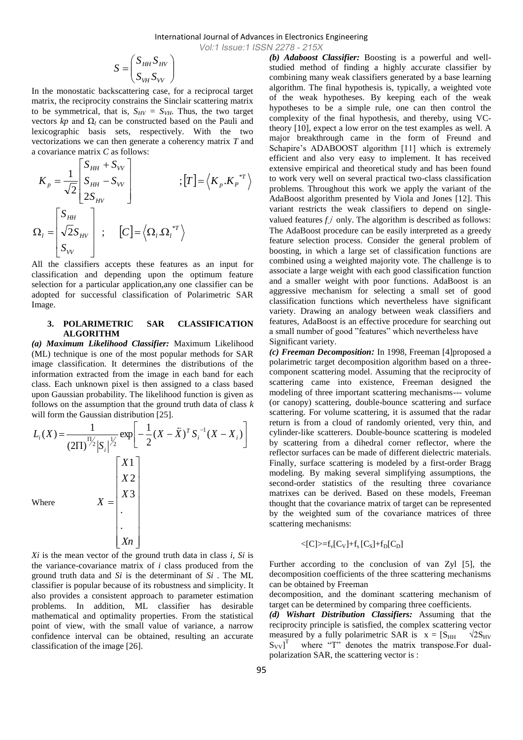$$
S = \begin{pmatrix} S_{HH} S_{HV} \\ S_{VH} S_{VV} \end{pmatrix}
$$

In the monostatic backscattering case, for a reciprocal target matrix, the reciprocity constrains the Sinclair scattering matrix to be symmetrical, that is,  $S_{HV} = S_{VH}$ . Thus, the two target vectors *kp* and  $Ω<sub>l</sub>$  can be constructed based on the Pauli and lexicographic basis sets, respectively. With the two vectorizations we can then generate a coherency matrix *T* and a covariance matrix *C* as follows:

$$
K_{p} = \frac{1}{\sqrt{2}} \begin{bmatrix} S_{HH} + S_{VV} \\ S_{HH} - S_{VV} \\ 2S_{HV} \end{bmatrix} ; [T] = \langle K_{p}.K_{p}^{*T} \rangle
$$
  

$$
\Omega_{l} = \begin{bmatrix} S_{HH} \\ \sqrt{2}S_{HV} \\ S_{VV} \end{bmatrix} ; [C] = \langle \Omega_{l}. \Omega_{l}^{*T} \rangle
$$

All the classifiers accepts these features as an input for classification and depending upon the optimum feature selection for a particular application,any one classifier can be adopted for successful classification of Polarimetric SAR Image.

## **3. POLARIMETRIC SAR CLASSIFICATION ALGORITHM**

*(a) Maximum Likelihood Classifier:* Maximum Likelihood (ML) technique is one of the most popular methods for SAR image classification. It determines the distributions of the information extracted from the image in each band for each class. Each unknown pixel is then assigned to a class based upon Gaussian probability. The likelihood function is given as follows on the assumption that the ground truth data of class *k*  will form the Gaussian distribution [25].

$$
L_i(X) = \frac{1}{(2\Pi)^{\frac{\prod j}{2}} |S_i|^{\frac{1}{2}}} \exp\left[-\frac{1}{2}(X - \bar{X})^T S_i^{-1} (X - X_i)\right]
$$
  
Where  

$$
X = \begin{bmatrix} X1 \\ X2 \\ X3 \\ \vdots \\ Xn \end{bmatrix}
$$
  

$$
X = \begin{bmatrix} X1 \\ X3 \\ \vdots \\ Xn \end{bmatrix}
$$

*Xi* is the mean vector of the ground truth data in class *i, Si* is the variance-covariance matrix of *i* class produced from the ground truth data and *Si* is the determinant of *Si* . The ML classifier is popular because of its robustness and simplicity. It also provides a consistent approach to parameter estimation problems. In addition, ML classifier has desirable mathematical and optimality properties. From the statistical point of view, with the small value of variance, a narrow confidence interval can be obtained, resulting an accurate classification of the image [26].

*(b) Adaboost Classifier:* Boosting is a powerful and wellstudied method of finding a highly accurate classifier by combining many weak classifiers generated by a base learning algorithm. The final hypothesis is, typically, a weighted vote of the weak hypotheses. By keeping each of the weak hypotheses to be a simple rule, one can then control the complexity of the final hypothesis, and thereby, using VCtheory [10], expect a low error on the test examples as well. A major breakthrough came in the form of Freund and Schapire's ADABOOST algorithm [11] which is extremely efficient and also very easy to implement. It has received extensive empirical and theoretical study and has been found to work very well on several practical two-class classification problems. Throughout this work we apply the variant of the AdaBoost algorithm presented by Viola and Jones [12]. This variant restricts the weak classifiers to depend on singlevalued features *f j* only. The algorithm is described as follows: The AdaBoost procedure can be easily interpreted as a greedy feature selection process. Consider the general problem of boosting, in which a large set of classification functions are combined using a weighted majority vote. The challenge is to associate a large weight with each good classification function and a smaller weight with poor functions. AdaBoost is an aggressive mechanism for selecting a small set of good classification functions which nevertheless have significant variety. Drawing an analogy between weak classifiers and features, AdaBoost is an effective procedure for searching out a small number of good "features" which nevertheless have Significant variety.

*(c) Freeman Decomposition:* In 1998, Freeman [4]proposed a polarimetric target decomposition algorithm based on a threecomponent scattering model. Assuming that the reciprocity of scattering came into existence, Freeman designed the modeling of three important scattering mechanisms--- volume (or canopy) scattering, double-bounce scattering and surface scattering. For volume scattering, it is assumed that the radar return is from a cloud of randomly oriented, very thin, and cylinder-like scatterers. Double-bounce scattering is modeled by scattering from a dihedral corner reflector, where the reflector surfaces can be made of different dielectric materials. Finally, surface scattering is modeled by a first-order Bragg modeling. By making several simplifying assumptions, the second-order statistics of the resulting three covariance matrixes can be derived. Based on these models, Freeman thought that the covariance matrix of target can be represented by the weighted sum of the covariance matrices of three scattering mechanisms:

$$
<\!\! [C]\!\!> =\!\! f_v[C_V]\!+\! f_s\, [C_S]\!+\! f_D[C_D]
$$

Further according to the conclusion of van Zyl [5], the decomposition coefficients of the three scattering mechanisms can be obtained by Freeman

decomposition, and the dominant scattering mechanism of target can be determined by comparing three coefficients.

*(d) Wishart Distribution Classifiers:* Assuming that the reciprocity principle is satisfied, the complex scattering vector measured by a fully polarimetric SAR is  $x = [S_{HH} \quad \sqrt{2}S_{HV}]$  $S_{VV}$ <sup>T</sup> where "T" denotes the matrix transpose.For dualpolarization SAR, the scattering vector is :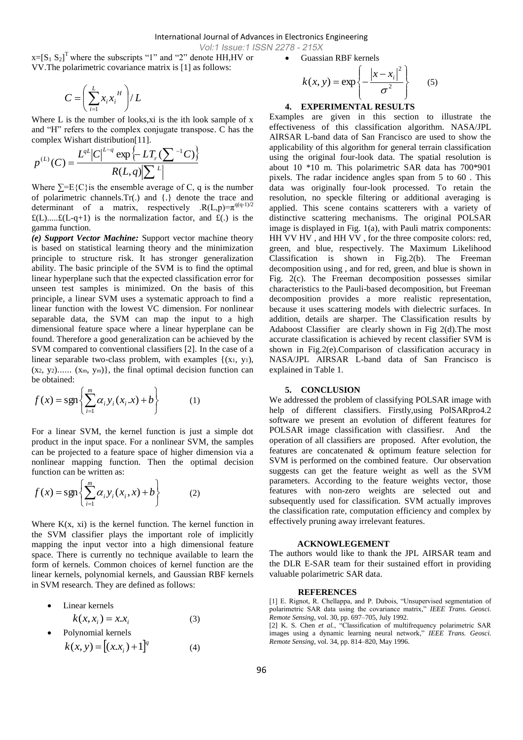Vol:1 Issue:1 ISSN 2278 - 215X

 $x=[S_1 S_2]^T$  where the subscripts "1" and "2" denote HH, HV or VV.The polarimetric covariance matrix is [1] as follows:

$$
C=\!\left(\sum_{i=1}^L x_i{x_i}^H\right)\!/L
$$

Where L is the number of looks, xi is the ith look sample of x and "H" refers to the complex conjugate transpose. C has the

complex Wishart distribution[11].  
\n
$$
p^{(L)}(C) = \frac{L^{qL}|C|^{L-q} \exp\left\{-LT_r(\sum e^{-1}C)\right\}}{R(L,q)|\sum e^{-L}|}
$$

Where  $\Sigma = E\{C\}$  is the ensemble average of C, q is the number of polarimetric channels.Tr(.) and {.} denote the trace and determinant of a matrix, respectively  $.R(L,p)=\pi^{q(q-1)/2}$  $f(L)$ ..... $f(L-q+1)$  is the normalization factor, and  $f(L)$  is the gamma function.

*(e) Support Vector Machine:* Support vector machine theory is based on statistical learning theory and the minimization principle to structure risk. It has stronger generalization ability. The basic principle of the SVM is to find the optimal linear hyperplane such that the expected classification error for unseen test samples is minimized. On the basis of this principle, a linear SVM uses a systematic approach to find a linear function with the lowest VC dimension. For nonlinear separable data, the SVM can map the input to a high dimensional feature space where a linear hyperplane can be found. Therefore a good generalization can be achieved by the SVM compared to conventional classifiers [2]. In the case of a linear separable two-class problem, with examples {(x1, y1),  $(x_2, y_2)$ ......  $(x_m, y_m)$ , the final optimal decision function can be obtained:

$$
f(x) = \operatorname{sgn}\left\{\sum_{i=1}^{m} \alpha_i y_i(x_i.x) + b\right\} \tag{1}
$$

For a linear SVM, the kernel function is just a simple dot product in the input space. For a nonlinear SVM, the samples can be projected to a feature space of higher dimension via a nonlinear mapping function. Then the optimal decision function can be written as:

(1)

(4)

$$
f(x) = \operatorname{sgn}\left\{\sum_{i=1}^{m} \alpha_i y_i(x_i, x) + b\right\} \tag{2}
$$

Where  $K(x, xi)$  is the kernel function. The kernel function in the SVM classifier plays the important role of implicitly mapping the input vector into a high dimensional feature space. There is currently no technique available to learn the form of kernels. Common choices of kernel function are the linear kernels, polynomial kernels, and Gaussian RBF kernels in SVM research. They are defined as follows:

- Linear kernels  $k(x, x_i) = x.x_i$ (3)
- Polynomial kernels  $[(x.x_i)+1]^q$  $k(x, y) = [(x.x_i) + 1]$

Guassian RBF kernels

$$
k(x, y) = \exp\left\{-\frac{|x - x_i|^2}{\sigma^2}\right\} \qquad (5)
$$

### **4. EXPERIMENTAL RESULTS**

Examples are given in this section to illustrate the effectiveness of this classification algorithm. NASA/JPL AIRSAR L-band data of San Francisco are used to show the applicability of this algorithm for general terrain classification using the original four-look data. The spatial resolution is about 10 \*10 m. This polarimetric SAR data has 700\*901 pixels. The radar incidence angles span from 5 to 60 . This data was originally four-look processed. To retain the resolution, no speckle filtering or additional averaging is applied. This scene contains scatterers with a variety of distinctive scattering mechanisms. The original POLSAR image is displayed in Fig. 1(a), with Pauli matrix components: HH VV HV , and HH VV , for the three composite colors: red, green, and blue, respectively. The Maximum Likelihood Classification is shown in Fig.2(b). The Freeman decomposition using , and for red, green, and blue is shown in Fig. 2(c). The Freeman decomposition possesses similar characteristics to the Pauli-based decomposition, but Freeman decomposition provides a more realistic representation, because it uses scattering models with dielectric surfaces. In addition, details are sharper. The Classification results by Adaboost Classifier are clearly shown in Fig 2(d).The most accurate classification is achieved by recent classifier SVM is shown in Fig.2(e).Comparison of classification accuracy in NASA/JPL AIRSAR L-band data of San Francisco is explained in Table 1.

# **5. CONCLUSION**

We addressed the problem of classifying POLSAR image with help of different classifiers. Firstly,using PolSARpro4.2 software we present an evolution of different features for POLSAR image classification with classifiesr. And the operation of all classifiers are proposed. After evolution, the features are concatenated & optimum feature selection for SVM is performed on the combined feature. Our observation suggests can get the feature weight as well as the SVM parameters. According to the feature weights vector, those features with non-zero weights are selected out and subsequently used for classification. SVM actually improves the classification rate, computation efficiency and complex by effectively pruning away irrelevant features.

#### **ACKNOWLEGEMENT**

The authors would like to thank the JPL AIRSAR team and the DLR E-SAR team for their sustained effort in providing valuable polarimetric SAR data.

#### **REFERENCES**

[1] E. Rignot, R. Chellappa, and P. Dubois, "Unsupervised segmentation of polarimetric SAR data using the covariance matrix," IEEE Trans. Geosci. *Remote Sensing*, vol. 30, pp. 697–705, July 1992.

[2] K. S. Chen et al., "Classification of multifrequency polarimetric SAR images using a dynamic learning neural network," IEEE Trans. Geosci. *Remote Sensing*, vol. 34, pp. 814–820, May 1996.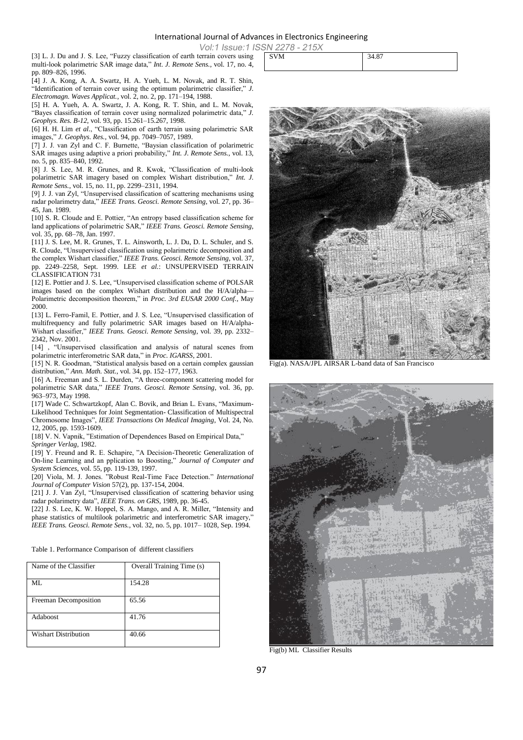Vol:1 Issue:1 ISSN 2278 - 215X

[3] L. J. Du and J. S. Lee, "Fuzzy classification of earth terrain covers using multi-look polarimetric SAR image data," *Int. J. Remote Sens.*, vol. 17, no. 4, pp. 809–826, 1996.

[4] J. A. Kong, A. A. Swartz, H. A. Yueh, L. M. Novak, and R. T. Shin, "Identification of terrain cover using the optimum polarimetric classifier," *J. Electromagn. Waves Applicat.*, vol. 2, no. 2, pp. 171–194, 1988.

[5] H. A. Yueh, A. A. Swartz, J. A. Kong, R. T. Shin, and L. M. Novak, "Bayes classification of terrain cover using normalized polarimetric data," *J. Geophys. Res. B-12*, vol. 93, pp. 15.261–15.267, 1998.

[6] H. H. Lim *et al.*, "Classification of earth terrain using polarimetric SAR images,‖ *J. Geophys. Res.*, vol. 94, pp. 7049–7057, 1989.

[7] J. J. van Zyl and C. F. Burnette, "Baysian classification of polarimetric SAR images using adaptive a priori probability," *Int. J. Remote Sens.*, vol. 13, no. 5, pp. 835–840, 1992.

[8] J. S. Lee, M. R. Grunes, and R. Kwok, "Classification of multi-look polarimetric SAR imagery based on complex Wishart distribution," Int. J. *Remote Sens.*, vol. 15, no. 11, pp. 2299–2311, 1994.

[9] J. J. van Zyl, "Unsupervised classification of scattering mechanisms using radar polarimetry data," *IEEE Trans. Geosci. Remote Sensing*, vol. 27, pp. 36– 45, Jan. 1989.

[10] S. R. Cloude and E. Pottier, "An entropy based classification scheme for land applications of polarimetric SAR," IEEE Trans. Geosci. Remote Sensing, vol. 35, pp. 68–78, Jan. 1997.

[11] J. S. Lee, M. R. Grunes, T. L. Ainsworth, L. J. Du, D. L. Schuler, and S. R. Cloude, "Unsupervised classification using polarimetric decomposition and the complex Wishart classifier," IEEE Trans. Geosci. Remote Sensing, vol. 37, pp. 2249–2258, Sept. 1999. LEE *et al.*: UNSUPERVISED TERRAIN CLASSIFICATION 731

[12] E. Pottier and J. S. Lee, "Unsupervised classification scheme of POLSAR images based on the complex Wishart distribution and the H/A/alpha— Polarimetric decomposition theorem," in *Proc. 3rd EUSAR 2000 Conf.*, May 2000.

[13] L. Ferro-Famil, E. Pottier, and J. S. Lee, "Unsupervised classification of multifrequency and fully polarimetric SAR images based on H/A/alpha-Wishart classifier," *IEEE Trans. Geosci. Remote Sensing*, vol. 39, pp. 2332– 2342, Nov. 2001.

[14] , "Unsupervised classification and analysis of natural scenes from polarimetric interferometric SAR data,‖ in *Proc. IGARSS*, 2001.

 $\overline{1}$  [15] N. R. Goodman, "Statistical analysis based on a certain complex gaussian distribution," *Ann. Math. Stat.*, vol. 34, pp. 152-177, 1963.

[16] A. Freeman and S. L. Durden, "A three-component scattering model for polarimetric SAR data," *IEEE Trans. Geosci. Remote Sensing*, vol. 36, pp. 963–973, May 1998.

[17] Wade C. Schwartzkopf, Alan C. Bovik, and Brian L. Evans, "Maximum-Likelihood Techniques for Joint Segmentation- Classification of Multispectral Chromosome Images‖, *IEEE Transactions On Medical Imaging*, Vol. 24, No. 12, 2005, pp. 1593-1609.

[18] V. N. Vapnik, "Estimation of Dependences Based on Empirical Data," *Springer Verlag,* 1982.

[19] Y. Freund and R. E. Schapire, "A Decision-Theoretic Generalization of On-line Learning and an pplication to Boosting," Journal of Computer and *System Sciences,* vol. 55, pp. 119-139, 1997.

[20] Viola, M. J. Jones. "Robust Real-Time Face Detection." *International Journal of Computer Vision* 57(2), pp. 137-154, 2004.

[21] J. J. Van Zyl, "Unsupervised classification of scattering behavior using radar polarimetry data", *IEEE Trans. on GRS*, 1989, pp. 36-45.

[22] J. S. Lee, K. W. Hoppel, S. A. Mango, and A. R. Miller, "Intensity and phase statistics of multilook polarimetric and interferometric SAR imagery,' *IEEE Trans. Geosci. Remote Sens.*, vol. 32, no. 5, pp. 1017– 1028, Sep. 1994.

Table 1. Performance Comparison of different classifiers

| Name of the Classifier      | Overall Training Time (s) |
|-----------------------------|---------------------------|
| ML                          | 154.28                    |
| Freeman Decomposition       | 65.56                     |
| <b>Adaboost</b>             | 41.76                     |
| <b>Wishart Distribution</b> | 40.66                     |

| $V = -$<br>$\sim$ 1 $\sim$ 1 $\sim$ |       |
|-------------------------------------|-------|
| SVM                                 | 34.87 |
|                                     |       |



Fig(a). NASA/JPL AIRSAR L-band data of San Francisco



Fig(b) ML Classifier Results